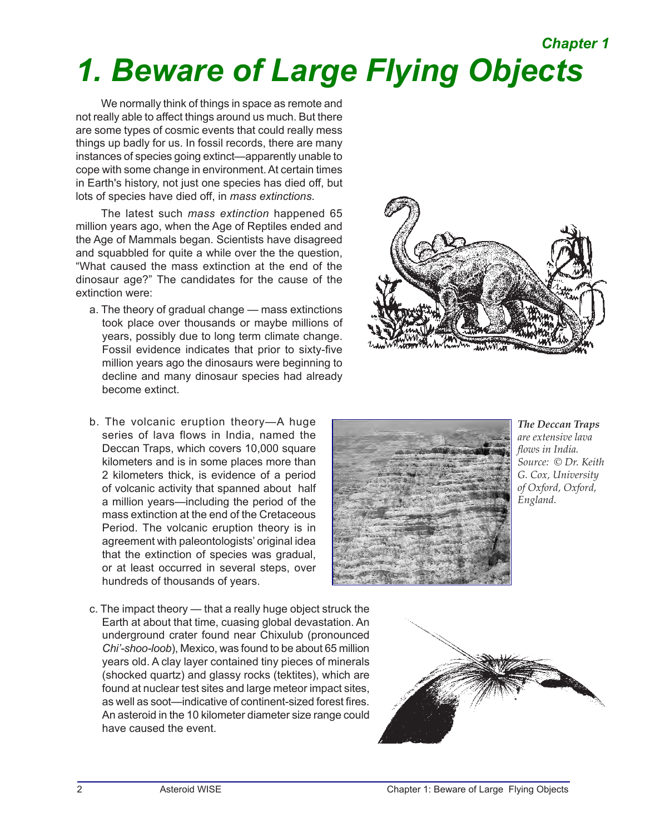# *1. Beware of Large Flying Objects Chapter 1*

We normally think of things in space as remote and not really able to affect things around us much. But there are some types of cosmic events that could really mess things up badly for us. In fossil records, there are many instances of species going extinct—apparently unable to cope with some change in environment. At certain times in Earth's history, not just one species has died off, but lots of species have died off, in *mass extinctions*.

The latest such *mass extinction* happened 65 million years ago, when the Age of Reptiles ended and the Age of Mammals began. Scientists have disagreed and squabbled for quite a while over the the question, "What caused the mass extinction at the end of the dinosaur age?" The candidates for the cause of the extinction were:

- a. The theory of gradual change mass extinctions took place over thousands or maybe millions of years, possibly due to long term climate change. Fossil evidence indicates that prior to sixty-five million years ago the dinosaurs were beginning to decline and many dinosaur species had already become extinct.
- b. The volcanic eruption theory—A huge series of lava flows in India, named the Deccan Traps, which covers 10,000 square kilometers and is in some places more than 2 kilometers thick, is evidence of a period of volcanic activity that spanned about half a million years—including the period of the mass extinction at the end of the Cretaceous Period. The volcanic eruption theory is in agreement with paleontologists' original idea that the extinction of species was gradual, or at least occurred in several steps, over hundreds of thousands of years.
- c. The impact theory that a really huge object struck the Earth at about that time, cuasing global devastation. An underground crater found near Chixulub (pronounced *Chi'-shoo-loob*), Mexico, was found to be about 65 million years old. A clay layer contained tiny pieces of minerals (shocked quartz) and glassy rocks (tektites), which are found at nuclear test sites and large meteor impact sites, as well as soot—indicative of continent-sized forest fires. An asteroid in the 10 kilometer diameter size range could have caused the event.





*The Deccan Traps are extensive lava flows in India. Source: © Dr. Keith G. Cox, University of Oxford, Oxford, England.*

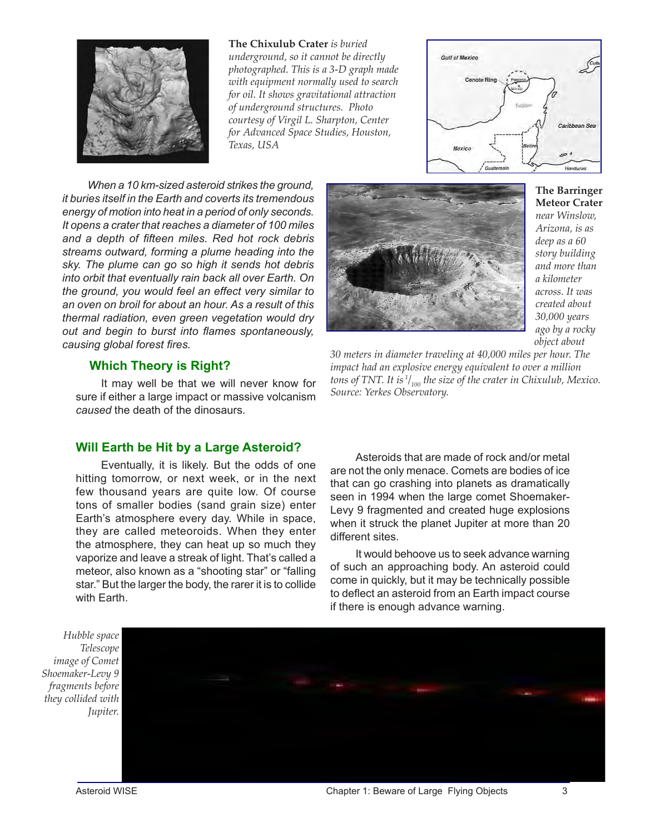

**The Chixulub Crater** *is buried underground, so it cannot be directly photographed. This is a 3-D graph made with equipment normally used to search for oil. It shows gravitational attraction of underground structures. Photo courtesy of Virgil L. Sharpton, Center for Advanced Space Studies, Houston, Texas, USA*



*When a 10 km-sized asteroid strikes the ground, it buries itself in the Earth and coverts its tremendous energy of motion into heat in a period of only seconds. It opens a crater that reaches a diameter of 100 miles and a depth of fifteen miles. Red hot rock debris streams outward, forming a plume heading into the sky. The plume can go so high it sends hot debris into orbit that eventually rain back all over Earth. On the ground, you would feel an effect very similar to an oven on broil for about an hour. As a result of this thermal radiation, even green vegetation would dry out and begin to burst into flames spontaneously, causing global forest fires.*

### **Which Theory is Right?**

It may well be that we will never know for sure if either a large impact or massive volcanism *caused* the death of the dinosaurs.

### **Will Earth be Hit by a Large Asteroid?**

Eventually, it is likely. But the odds of one hitting tomorrow, or next week, or in the next few thousand years are quite low. Of course tons of smaller bodies (sand grain size) enter Earth's atmosphere every day. While in space, they are called meteoroids. When they enter the atmosphere, they can heat up so much they vaporize and leave a streak of light. That's called a meteor, also known as a "shooting star" or "falling star." But the larger the body, the rarer it is to collide with Earth.



**The Barringer Meteor Crater** *near Winslow, Arizona, is as deep as a 60 story building and more than a kilometer across. It was created about 30,000 years ago by a rocky object about* 

*30 meters in diameter traveling at 40,000 miles per hour. The impact had an explosive energy equivalent to over a million tons of TNT. It is 1/ 100 the size of the crater in Chixulub, Mexico. Source: Yerkes Observatory.*

Asteroids that are made of rock and/or metal are not the only menace. Comets are bodies of ice that can go crashing into planets as dramatically seen in 1994 when the large comet Shoemaker-Levy 9 fragmented and created huge explosions when it struck the planet Jupiter at more than 20 different sites.

It would behoove us to seek advance warning of such an approaching body. An asteroid could come in quickly, but it may be technically possible to deflect an asteroid from an Earth impact course if there is enough advance warning.

*Hubble space Telescope image of Comet Shoemaker-Levy 9 fragments before they collided with Jupiter.*

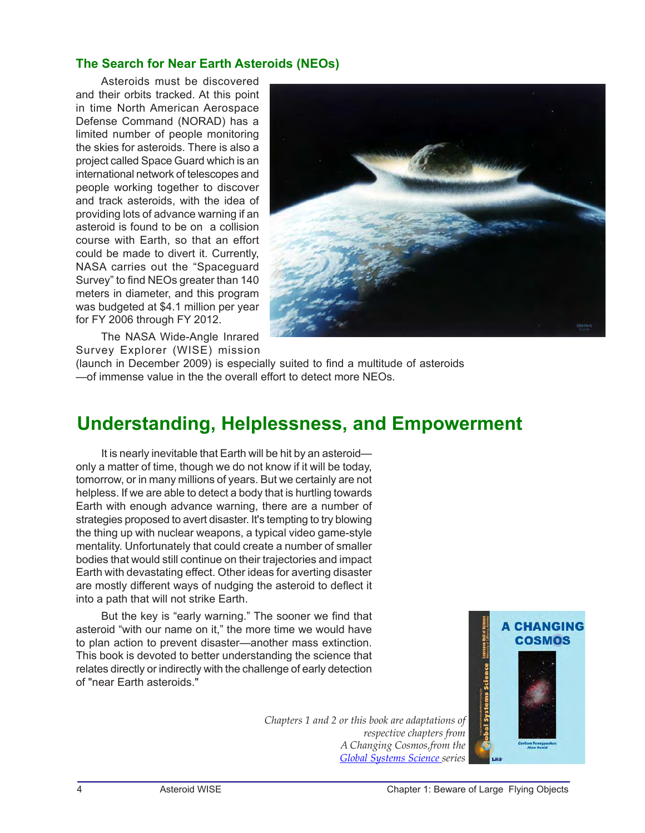# **The Search for Near Earth Asteroids (NEOs)**

Asteroids must be discovered and their orbits tracked. At this point in time North American Aerospace Defense Command (NORAD) has a limited number of people monitoring the skies for asteroids. There is also a project called Space Guard which is an international network of telescopes and people working together to discover and track asteroids, with the idea of providing lots of advance warning if an asteroid is found to be on a collision course with Earth, so that an effort could be made to divert it. Currently, NASA carries out the "Spaceguard Survey" to find NEOs greater than 140 meters in diameter, and this program was budgeted at \$4.1 million per year for FY 2006 through FY 2012.



The NASA Wide-Angle Inrared Survey Explorer (WISE) mission

(launch in December 2009) is especially suited to find a multitude of asteroids —of immense value in the the overall effort to detect more NEOs.

# **Understanding, Helplessness, and Empowerment**

It is nearly inevitable that Earth will be hit by an asteroid only a matter of time, though we do not know if it will be today, tomorrow, or in many millions of years. But we certainly are not helpless. If we are able to detect a body that is hurtling towards Earth with enough advance warning, there are a number of strategies proposed to avert disaster. It's tempting to try blowing the thing up with nuclear weapons, a typical video game-style mentality. Unfortunately that could create a number of smaller bodies that would still continue on their trajectories and impact Earth with devastating effect. Other ideas for averting disaster are mostly different ways of nudging the asteroid to deflect it into a path that will not strike Earth.

But the key is "early warning." The sooner we find that asteroid "with our name on it," the more time we would have to plan action to prevent disaster—another mass extinction. This book is devoted to better understanding the science that relates directly or indirectly with the challenge of early detection of "near Earth asteroids."



*Chapters 1 and 2 or this book are adaptations of respective chapters from A Changing Cosmos,from the [Global Systems Science](http://lhs.berkeley.edu/gss/) series*